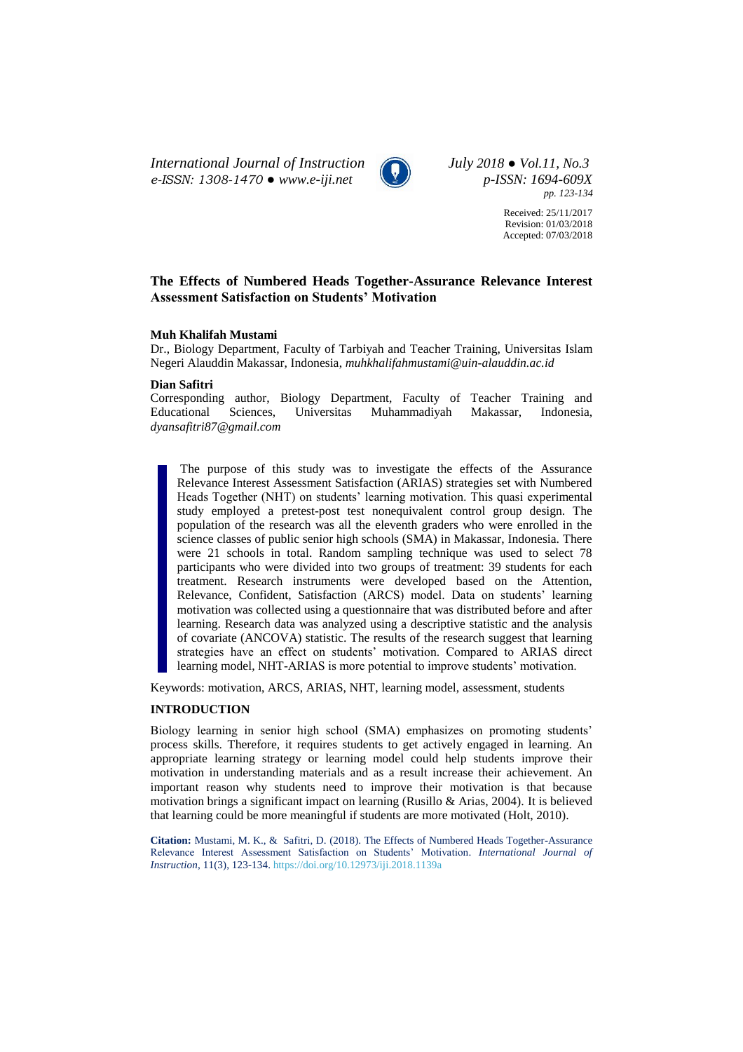*International Journal of Instruction July 2018 ● Vol.11, No.3 e-ISSN: 1308-1470 ● [www.e-iji.net](http://www.e-iji.net/) p-ISSN: 1694-609X*



*pp. 123-134*

Received: 25/11/2017 Revision: 01/03/2018 Accepted: 07/03/2018

## **The Effects of Numbered Heads Together-Assurance Relevance Interest Assessment Satisfaction on Students' Motivation**

## **Muh Khalifah Mustami**

Dr., Biology Department, Faculty of Tarbiyah and Teacher Training, Universitas Islam Negeri Alauddin Makassar, Indonesia, *muhkhalifahmustami@uin-alauddin.ac.id*

## **Dian Safitri**

Corresponding author, Biology Department, Faculty of Teacher Training and Educational Sciences, Universitas Muhammadiyah Makassar, Indonesia, *dyansafitri87@gmail.com*

The purpose of this study was to investigate the effects of the Assurance Relevance Interest Assessment Satisfaction (ARIAS) strategies set with Numbered Heads Together (NHT) on students' learning motivation. This quasi experimental study employed a pretest-post test nonequivalent control group design. The population of the research was all the eleventh graders who were enrolled in the science classes of public senior high schools (SMA) in Makassar, Indonesia. There were 21 schools in total. Random sampling technique was used to select 78 participants who were divided into two groups of treatment: 39 students for each treatment. Research instruments were developed based on the Attention, Relevance, Confident, Satisfaction (ARCS) model. Data on students' learning motivation was collected using a questionnaire that was distributed before and after learning. Research data was analyzed using a descriptive statistic and the analysis of covariate (ANCOVA) statistic. The results of the research suggest that learning strategies have an effect on students' motivation. Compared to ARIAS direct learning model, NHT-ARIAS is more potential to improve students' motivation.

Keywords: motivation, ARCS, ARIAS, NHT, learning model, assessment, students

## **INTRODUCTION**

Biology learning in senior high school (SMA) emphasizes on promoting students' process skills. Therefore, it requires students to get actively engaged in learning. An appropriate learning strategy or learning model could help students improve their motivation in understanding materials and as a result increase their achievement. An important reason why students need to improve their motivation is that because motivation brings a significant impact on learning (Rusillo & Arias, 2004). It is believed that learning could be more meaningful if students are more motivated (Holt, 2010).

**Citation:** Mustami, M. K., & Safitri, D. (2018). The Effects of Numbered Heads Together-Assurance Relevance Interest Assessment Satisfaction on Students' Motivation. *International Journal of Instruction*, 11(3), 123-134. <https://doi.org/10.12973/iji.2018.1139a>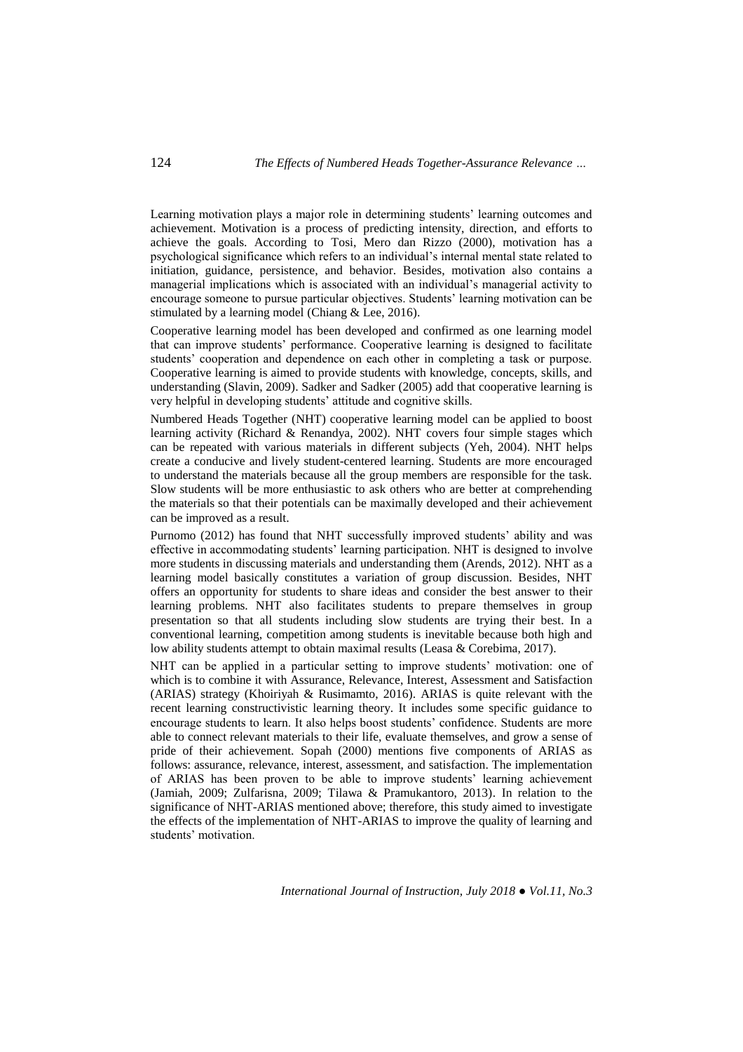Learning motivation plays a major role in determining students' learning outcomes and achievement. Motivation is a process of predicting intensity, direction, and efforts to achieve the goals. According to Tosi, Mero dan Rizzo (2000), motivation has a psychological significance which refers to an individual's internal mental state related to initiation, guidance, persistence, and behavior. Besides, motivation also contains a managerial implications which is associated with an individual's managerial activity to encourage someone to pursue particular objectives. Students' learning motivation can be stimulated by a learning model (Chiang & Lee, 2016).

Cooperative learning model has been developed and confirmed as one learning model that can improve students' performance. Cooperative learning is designed to facilitate students' cooperation and dependence on each other in completing a task or purpose. Cooperative learning is aimed to provide students with knowledge, concepts, skills, and understanding (Slavin, 2009). Sadker and Sadker (2005) add that cooperative learning is very helpful in developing students' attitude and cognitive skills.

Numbered Heads Together (NHT) cooperative learning model can be applied to boost learning activity (Richard & Renandya, 2002). NHT covers four simple stages which can be repeated with various materials in different subjects (Yeh, 2004). NHT helps create a conducive and lively student-centered learning. Students are more encouraged to understand the materials because all the group members are responsible for the task. Slow students will be more enthusiastic to ask others who are better at comprehending the materials so that their potentials can be maximally developed and their achievement can be improved as a result.

Purnomo (2012) has found that NHT successfully improved students' ability and was effective in accommodating students' learning participation. NHT is designed to involve more students in discussing materials and understanding them (Arends, 2012). NHT as a learning model basically constitutes a variation of group discussion. Besides, NHT offers an opportunity for students to share ideas and consider the best answer to their learning problems. NHT also facilitates students to prepare themselves in group presentation so that all students including slow students are trying their best. In a conventional learning, competition among students is inevitable because both high and low ability students attempt to obtain maximal results (Leasa & Corebima, 2017).

NHT can be applied in a particular setting to improve students' motivation: one of which is to combine it with Assurance, Relevance, Interest, Assessment and Satisfaction (ARIAS) strategy (Khoiriyah & Rusimamto, 2016). ARIAS is quite relevant with the recent learning constructivistic learning theory. It includes some specific guidance to encourage students to learn. It also helps boost students' confidence. Students are more able to connect relevant materials to their life, evaluate themselves, and grow a sense of pride of their achievement. Sopah (2000) mentions five components of ARIAS as follows: assurance, relevance, interest, assessment, and satisfaction. The implementation of ARIAS has been proven to be able to improve students' learning achievement (Jamiah, 2009; Zulfarisna, 2009; Tilawa & Pramukantoro, 2013). In relation to the significance of NHT-ARIAS mentioned above; therefore, this study aimed to investigate the effects of the implementation of NHT-ARIAS to improve the quality of learning and students' motivation.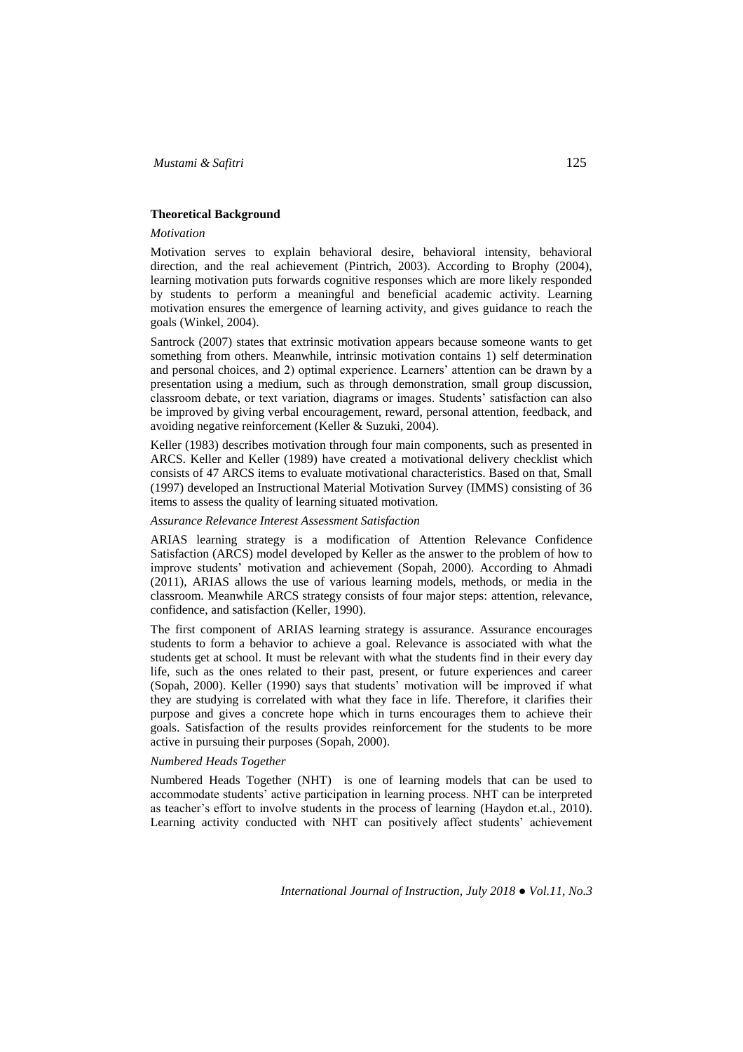## **Theoretical Background**

#### *Motivation*

Motivation serves to explain behavioral desire, behavioral intensity, behavioral direction, and the real achievement (Pintrich, 2003). According to Brophy (2004), learning motivation puts forwards cognitive responses which are more likely responded by students to perform a meaningful and beneficial academic activity. Learning motivation ensures the emergence of learning activity, and gives guidance to reach the goals (Winkel, 2004).

Santrock (2007) states that extrinsic motivation appears because someone wants to get something from others. Meanwhile, intrinsic motivation contains 1) self determination and personal choices, and 2) optimal experience. Learners' attention can be drawn by a presentation using a medium, such as through demonstration, small group discussion, classroom debate, or text variation, diagrams or images. Students' satisfaction can also be improved by giving verbal encouragement, reward, personal attention, feedback, and avoiding negative reinforcement (Keller & Suzuki, 2004).

Keller (1983) describes motivation through four main components, such as presented in ARCS. Keller and Keller (1989) have created a motivational delivery checklist which consists of 47 ARCS items to evaluate motivational characteristics. Based on that, Small (1997) developed an Instructional Material Motivation Survey (IMMS) consisting of 36 items to assess the quality of learning situated motivation.

### *Assurance Relevance Interest Assessment Satisfaction*

ARIAS learning strategy is a modification of Attention Relevance Confidence Satisfaction (ARCS) model developed by Keller as the answer to the problem of how to improve students' motivation and achievement (Sopah, 2000). According to Ahmadi (2011), ARIAS allows the use of various learning models, methods, or media in the classroom. Meanwhile ARCS strategy consists of four major steps: attention, relevance, confidence, and satisfaction (Keller, 1990).

The first component of ARIAS learning strategy is assurance. Assurance encourages students to form a behavior to achieve a goal. Relevance is associated with what the students get at school. It must be relevant with what the students find in their every day life, such as the ones related to their past, present, or future experiences and career (Sopah, 2000). Keller (1990) says that students' motivation will be improved if what they are studying is correlated with what they face in life. Therefore, it clarifies their purpose and gives a concrete hope which in turns encourages them to achieve their goals. Satisfaction of the results provides reinforcement for the students to be more active in pursuing their purposes (Sopah, 2000).

## *Numbered Heads Together*

Numbered Heads Together (NHT) is one of learning models that can be used to accommodate students' active participation in learning process. NHT can be interpreted as teacher's effort to involve students in the process of learning (Haydon et.al., 2010). Learning activity conducted with NHT can positively affect students' achievement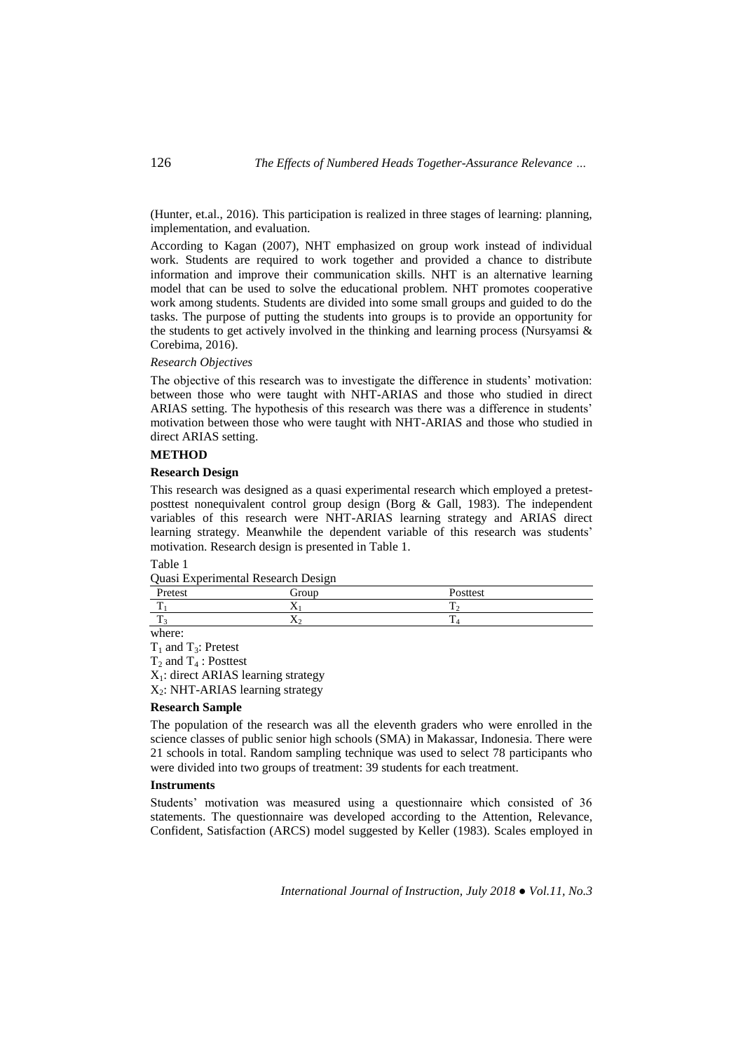(Hunter, et.al., 2016). This participation is realized in three stages of learning: planning, implementation, and evaluation.

According to Kagan (2007), NHT emphasized on group work instead of individual work. Students are required to work together and provided a chance to distribute information and improve their communication skills. NHT is an alternative learning model that can be used to solve the educational problem. NHT promotes cooperative work among students. Students are divided into some small groups and guided to do the tasks. The purpose of putting the students into groups is to provide an opportunity for the students to get actively involved in the thinking and learning process (Nursyamsi  $\&$ Corebima, 2016).

### *Research Objectives*

The objective of this research was to investigate the difference in students' motivation: between those who were taught with NHT-ARIAS and those who studied in direct ARIAS setting. The hypothesis of this research was there was a difference in students' motivation between those who were taught with NHT-ARIAS and those who studied in direct ARIAS setting.

#### **METHOD**

#### **Research Design**

This research was designed as a quasi experimental research which employed a pretestposttest nonequivalent control group design (Borg & Gall, 1983). The independent variables of this research were NHT-ARIAS learning strategy and ARIAS direct learning strategy. Meanwhile the dependent variable of this research was students' motivation. Research design is presented in Table 1.

#### Table 1

| Quasi Experimental Research Design |  |
|------------------------------------|--|
|------------------------------------|--|

| Pretest        | Group     | Posttest       |
|----------------|-----------|----------------|
| $\overline{ }$ | $\lambda$ |                |
| $\overline{ }$ | ∡⊾        | $\overline{ }$ |
| where:         |           |                |

 $T_1$  and  $T_3$ : Pretest  $T_2$  and  $T_4$ : Posttest X1: direct ARIAS learning strategy  $X_2$ : NHT-ARIAS learning strategy

#### **Research Sample**

The population of the research was all the eleventh graders who were enrolled in the science classes of public senior high schools (SMA) in Makassar, Indonesia. There were 21 schools in total. Random sampling technique was used to select 78 participants who were divided into two groups of treatment: 39 students for each treatment.

### **Instruments**

Students' motivation was measured using a questionnaire which consisted of 36 statements. The questionnaire was developed according to the Attention, Relevance, Confident, Satisfaction (ARCS) model suggested by Keller (1983). Scales employed in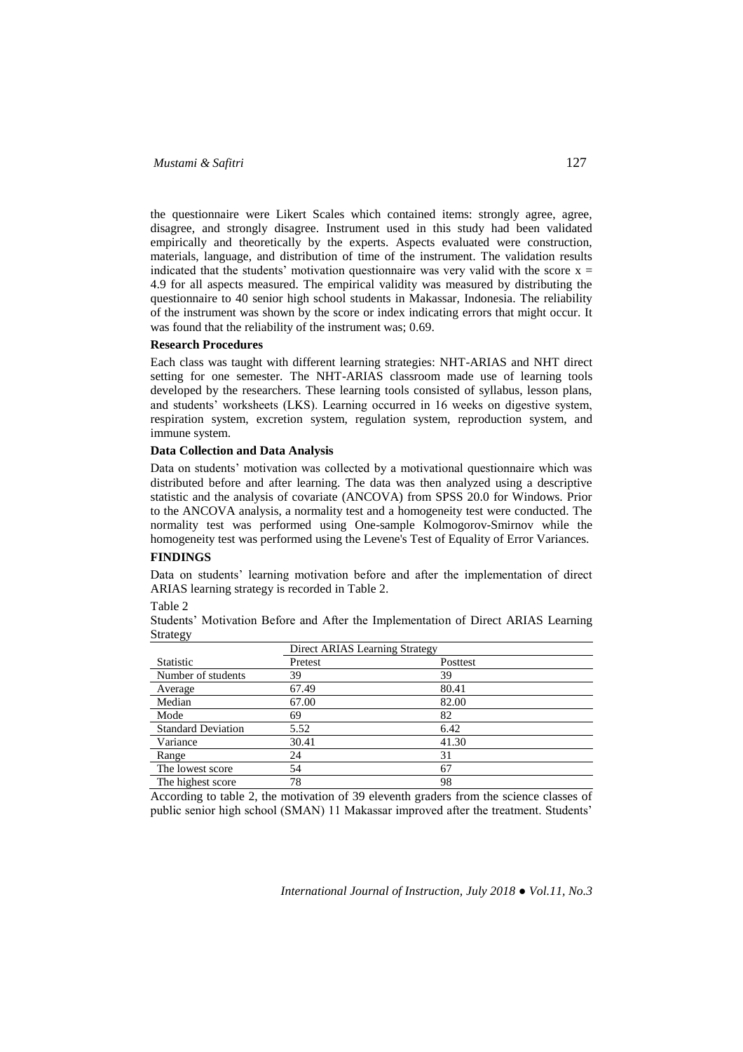## *Mustami & Safitri* 127

the questionnaire were Likert Scales which contained items: strongly agree, agree, disagree, and strongly disagree. Instrument used in this study had been validated empirically and theoretically by the experts. Aspects evaluated were construction, materials, language, and distribution of time of the instrument. The validation results indicated that the students' motivation questionnaire was very valid with the score  $x =$ 4.9 for all aspects measured. The empirical validity was measured by distributing the questionnaire to 40 senior high school students in Makassar, Indonesia. The reliability of the instrument was shown by the score or index indicating errors that might occur. It was found that the reliability of the instrument was; 0.69.

#### **Research Procedures**

Each class was taught with different learning strategies: NHT-ARIAS and NHT direct setting for one semester. The NHT-ARIAS classroom made use of learning tools developed by the researchers. These learning tools consisted of syllabus, lesson plans, and students' worksheets (LKS). Learning occurred in 16 weeks on digestive system, respiration system, excretion system, regulation system, reproduction system, and immune system.

#### **Data Collection and Data Analysis**

Data on students' motivation was collected by a motivational questionnaire which was distributed before and after learning. The data was then analyzed using a descriptive statistic and the analysis of covariate (ANCOVA) from SPSS 20.0 for Windows. Prior to the ANCOVA analysis, a normality test and a homogeneity test were conducted. The normality test was performed using One-sample Kolmogorov-Smirnov while the homogeneity test was performed using the Levene's Test of Equality of Error Variances.

# **FINDINGS**

Data on students' learning motivation before and after the implementation of direct ARIAS learning strategy is recorded in Table 2.

Table 2

Students' Motivation Before and After the Implementation of Direct ARIAS Learning Strategy

|                           | Direct ARIAS Learning Strategy |          |
|---------------------------|--------------------------------|----------|
| Statistic                 | Pretest                        | Posttest |
| Number of students        | 39                             | 39       |
| Average                   | 67.49                          | 80.41    |
| Median                    | 67.00                          | 82.00    |
| Mode                      | 69                             | 82       |
| <b>Standard Deviation</b> | 5.52                           | 6.42     |
| Variance                  | 30.41                          | 41.30    |
| Range                     | 24                             | 31       |
| The lowest score          | 54                             | 67       |
| The highest score         | 78                             | 98       |

According to table 2, the motivation of 39 eleventh graders from the science classes of public senior high school (SMAN) 11 Makassar improved after the treatment. Students'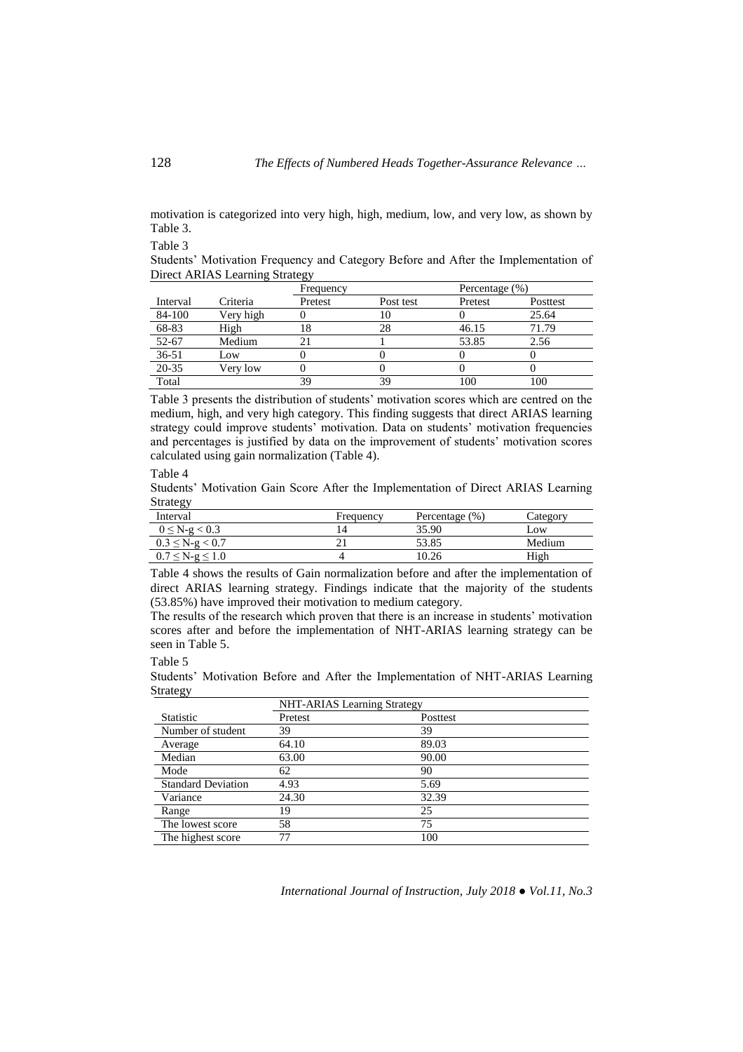motivation is categorized into very high, high, medium, low, and very low, as shown by Table 3.

Table 3

Students' Motivation Frequency and Category Before and After the Implementation of Direct ARIAS Learning Strategy

|           |           | Frequency |           | Percentage (%) |          |
|-----------|-----------|-----------|-----------|----------------|----------|
| Interval  | Criteria  | Pretest   | Post test | Pretest        | Posttest |
| 84-100    | Very high |           | IО        |                | 25.64    |
| 68-83     | High      | Ιŏ        | 28        | 46.15          | 71.79    |
| 52-67     | Medium    |           |           | 53.85          | 2.56     |
| $36 - 51$ | Low       |           |           |                |          |
| 20-35     | Very low  |           |           |                |          |
| Total     |           | 39        | ٩g        | 0 <sup>0</sup> | 100      |

Table 3 presents the distribution of students' motivation scores which are centred on the medium, high, and very high category. This finding suggests that direct ARIAS learning strategy could improve students' motivation. Data on students' motivation frequencies and percentages is justified by data on the improvement of students' motivation scores calculated using gain normalization (Table 4).

Table 4

Students' Motivation Gain Score After the Implementation of Direct ARIAS Learning Strategy

| Interval              | Frequency | Percentage (%) | Category |
|-----------------------|-----------|----------------|----------|
| $0 \le N-g < 0.3$     | 4         | 35.90          | Low      |
| $0.3 \leq N-g < 0.7$  | ∸ ⊥       | 53.85          | Medium   |
| $0.7 \le N-g \le 1.0$ | ⊶         |                | High     |

Table 4 shows the results of Gain normalization before and after the implementation of direct ARIAS learning strategy. Findings indicate that the majority of the students (53.85%) have improved their motivation to medium category.

The results of the research which proven that there is an increase in students' motivation scores after and before the implementation of NHT-ARIAS learning strategy can be seen in Table 5.

Table 5

Students' Motivation Before and After the Implementation of NHT-ARIAS Learning Strategy

| ັັ                        | <b>NHT-ARIAS</b> Learning Strategy |          |  |
|---------------------------|------------------------------------|----------|--|
| <b>Statistic</b>          | Pretest                            | Posttest |  |
| Number of student         | 39                                 | 39       |  |
| Average                   | 64.10                              | 89.03    |  |
| Median                    | 63.00                              | 90.00    |  |
| Mode                      | 62                                 | 90       |  |
| <b>Standard Deviation</b> | 4.93                               | 5.69     |  |
| Variance                  | 24.30                              | 32.39    |  |
| Range                     | 19                                 | 25       |  |
| The lowest score          | 58                                 | 75       |  |
| The highest score         | 77                                 | 100      |  |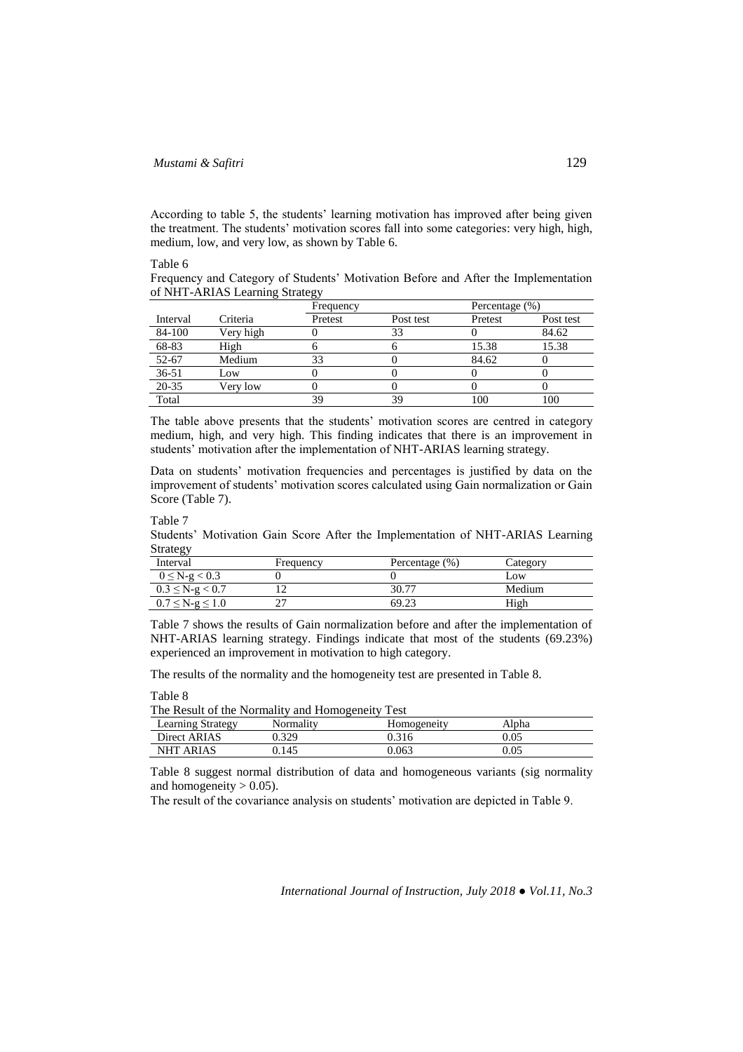# *Mustami & Safitri* 129

According to table 5, the students' learning motivation has improved after being given the treatment. The students' motivation scores fall into some categories: very high, high, medium, low, and very low, as shown by Table 6.

Table 6

Frequency and Category of Students' Motivation Before and After the Implementation of NHT-ARIAS Learning Strategy

|           |           | Frequency |           | Percentage $(\% )$ |           |
|-----------|-----------|-----------|-----------|--------------------|-----------|
| Interval  | Criteria  | Pretest   | Post test | Pretest            | Post test |
| 84-100    | Very high |           | 33        |                    | 84.62     |
| 68-83     | High      |           |           | 15.38              | 15.38     |
| 52-67     | Medium    | 33        |           | 84.62              |           |
| $36 - 51$ | Low       |           |           |                    |           |
| 20-35     | Verv low  |           |           |                    |           |
| Total     |           | 39        | 39        | 100                | 100       |

The table above presents that the students' motivation scores are centred in category medium, high, and very high. This finding indicates that there is an improvement in students' motivation after the implementation of NHT-ARIAS learning strategy.

Data on students' motivation frequencies and percentages is justified by data on the improvement of students' motivation scores calculated using Gain normalization or Gain Score (Table 7).

Table 7

Students' Motivation Gain Score After the Implementation of NHT-ARIAS Learning Strategy

| Interval              | Frequency | Percentage (%) | Category |
|-----------------------|-----------|----------------|----------|
| $0 \le N-g < 0.3$     |           |                | LOW      |
| $0.3 \leq N-g < 0.7$  |           | 30.77          | Medium   |
| $0.7 \le N-g \le 1.0$ |           | 69.23          | High     |

Table 7 shows the results of Gain normalization before and after the implementation of NHT-ARIAS learning strategy. Findings indicate that most of the students (69.23%) experienced an improvement in motivation to high category.

The results of the normality and the homogeneity test are presented in Table 8.

Table 8

| The Result of the Normality and Homogeneity Test |  |  |
|--------------------------------------------------|--|--|
|                                                  |  |  |

| Learning Strategy   | √ormalıtv | Homogeneitv | Alpha    |  |
|---------------------|-----------|-------------|----------|--|
| Direct ARIAS        | 320       |             | 0.05     |  |
| NHT<br><b>ARIAS</b> | ).145     | ).063       | $0.05\,$ |  |

Table 8 suggest normal distribution of data and homogeneous variants (sig normality and homogeneity  $> 0.05$ ).

The result of the covariance analysis on students' motivation are depicted in Table 9.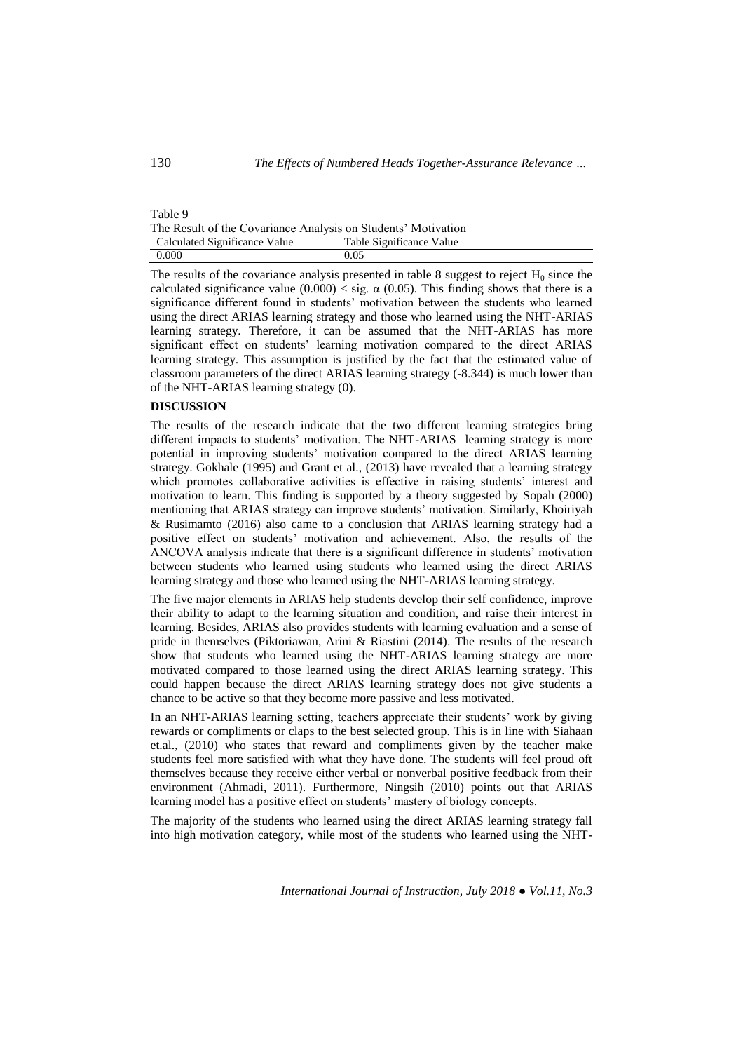| Table 9                                                       |                          |
|---------------------------------------------------------------|--------------------------|
| The Result of the Covariance Analysis on Students' Motivation |                          |
| Calculated Significance Value                                 | Table Significance Value |
| 0.000                                                         | 0.05                     |

The results of the covariance analysis presented in table 8 suggest to reject  $H_0$  since the calculated significance value  $(0.000) <$  sig.  $\alpha$  (0.05). This finding shows that there is a significance different found in students' motivation between the students who learned using the direct ARIAS learning strategy and those who learned using the NHT-ARIAS learning strategy. Therefore, it can be assumed that the NHT-ARIAS has more significant effect on students' learning motivation compared to the direct ARIAS learning strategy. This assumption is justified by the fact that the estimated value of classroom parameters of the direct ARIAS learning strategy (-8.344) is much lower than of the NHT-ARIAS learning strategy (0).

#### **DISCUSSION**

The results of the research indicate that the two different learning strategies bring different impacts to students' motivation. The NHT-ARIAS learning strategy is more potential in improving students' motivation compared to the direct ARIAS learning strategy. Gokhale (1995) and Grant et al., (2013) have revealed that a learning strategy which promotes collaborative activities is effective in raising students' interest and motivation to learn. This finding is supported by a theory suggested by Sopah (2000) mentioning that ARIAS strategy can improve students' motivation. Similarly, Khoiriyah & Rusimamto (2016) also came to a conclusion that ARIAS learning strategy had a positive effect on students' motivation and achievement. Also, the results of the ANCOVA analysis indicate that there is a significant difference in students' motivation between students who learned using students who learned using the direct ARIAS learning strategy and those who learned using the NHT-ARIAS learning strategy.

The five major elements in ARIAS help students develop their self confidence, improve their ability to adapt to the learning situation and condition, and raise their interest in learning. Besides, ARIAS also provides students with learning evaluation and a sense of pride in themselves (Piktoriawan, Arini & Riastini (2014). The results of the research show that students who learned using the NHT-ARIAS learning strategy are more motivated compared to those learned using the direct ARIAS learning strategy. This could happen because the direct ARIAS learning strategy does not give students a chance to be active so that they become more passive and less motivated.

In an NHT-ARIAS learning setting, teachers appreciate their students' work by giving rewards or compliments or claps to the best selected group. This is in line with Siahaan et.al., (2010) who states that reward and compliments given by the teacher make students feel more satisfied with what they have done. The students will feel proud oft themselves because they receive either verbal or nonverbal positive feedback from their environment (Ahmadi, 2011). Furthermore, Ningsih (2010) points out that ARIAS learning model has a positive effect on students' mastery of biology concepts.

The majority of the students who learned using the direct ARIAS learning strategy fall into high motivation category, while most of the students who learned using the NHT-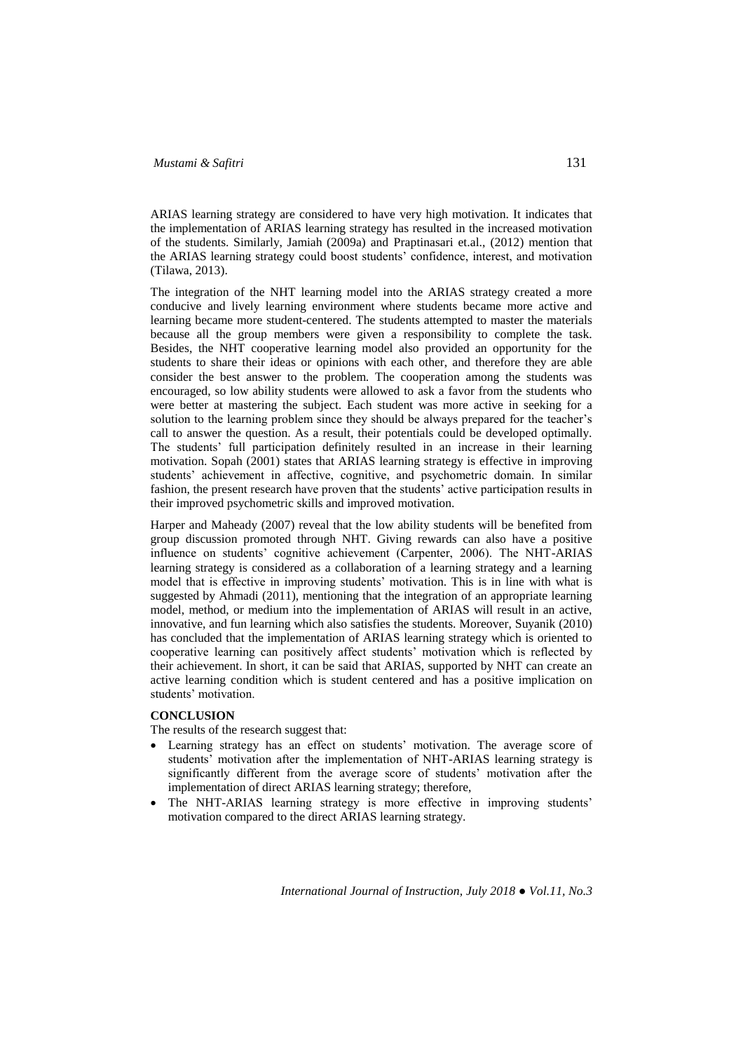ARIAS learning strategy are considered to have very high motivation. It indicates that the implementation of ARIAS learning strategy has resulted in the increased motivation of the students. Similarly, Jamiah (2009a) and Praptinasari et.al., (2012) mention that the ARIAS learning strategy could boost students' confidence, interest, and motivation (Tilawa, 2013).

The integration of the NHT learning model into the ARIAS strategy created a more conducive and lively learning environment where students became more active and learning became more student-centered. The students attempted to master the materials because all the group members were given a responsibility to complete the task. Besides, the NHT cooperative learning model also provided an opportunity for the students to share their ideas or opinions with each other, and therefore they are able consider the best answer to the problem. The cooperation among the students was encouraged, so low ability students were allowed to ask a favor from the students who were better at mastering the subject. Each student was more active in seeking for a solution to the learning problem since they should be always prepared for the teacher's call to answer the question. As a result, their potentials could be developed optimally. The students' full participation definitely resulted in an increase in their learning motivation. Sopah (2001) states that ARIAS learning strategy is effective in improving students' achievement in affective, cognitive, and psychometric domain. In similar fashion, the present research have proven that the students' active participation results in their improved psychometric skills and improved motivation.

Harper and Maheady (2007) reveal that the low ability students will be benefited from group discussion promoted through NHT. Giving rewards can also have a positive influence on students' cognitive achievement (Carpenter, 2006). The NHT-ARIAS learning strategy is considered as a collaboration of a learning strategy and a learning model that is effective in improving students' motivation. This is in line with what is suggested by Ahmadi (2011), mentioning that the integration of an appropriate learning model, method, or medium into the implementation of ARIAS will result in an active, innovative, and fun learning which also satisfies the students. Moreover, Suyanik (2010) has concluded that the implementation of ARIAS learning strategy which is oriented to cooperative learning can positively affect students' motivation which is reflected by their achievement. In short, it can be said that ARIAS, supported by NHT can create an active learning condition which is student centered and has a positive implication on students' motivation.

## **CONCLUSION**

The results of the research suggest that:

- Learning strategy has an effect on students' motivation. The average score of students' motivation after the implementation of NHT-ARIAS learning strategy is significantly different from the average score of students' motivation after the implementation of direct ARIAS learning strategy; therefore,
- The NHT-ARIAS learning strategy is more effective in improving students' motivation compared to the direct ARIAS learning strategy.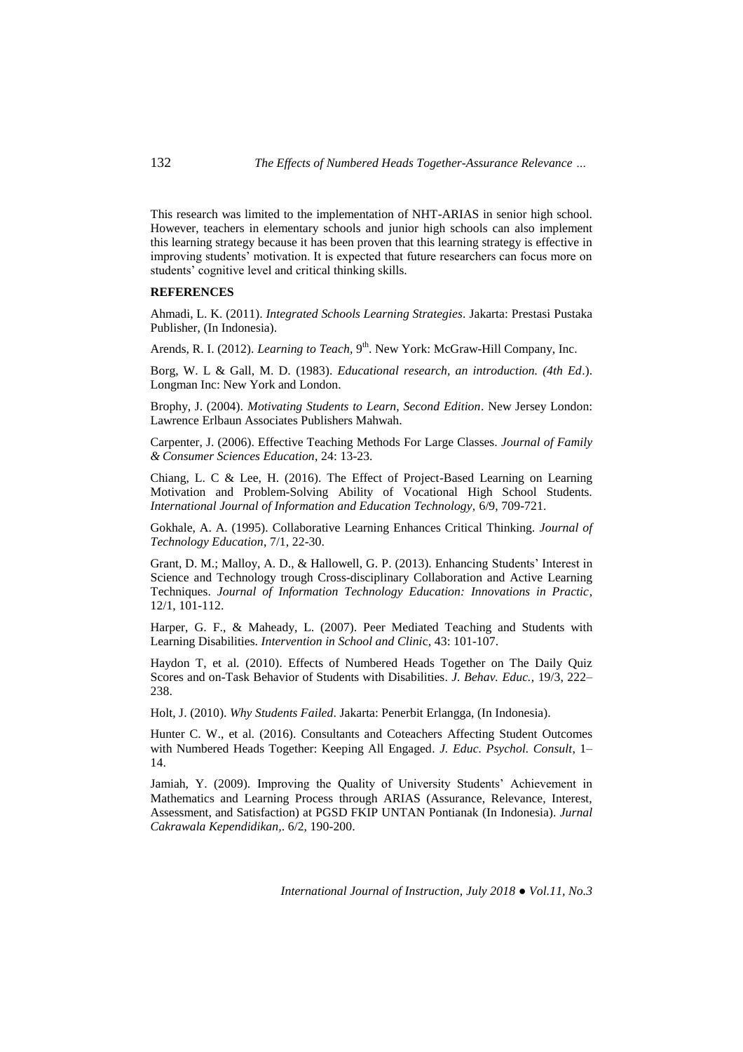This research was limited to the implementation of NHT-ARIAS in senior high school. However, teachers in elementary schools and junior high schools can also implement this learning strategy because it has been proven that this learning strategy is effective in improving students' motivation. It is expected that future researchers can focus more on students' cognitive level and critical thinking skills.

#### **REFERENCES**

Ahmadi, L. K. (2011). *Integrated Schools Learning Strategies*. Jakarta: Prestasi Pustaka Publisher, (In Indonesia).

Arends, R. I. (2012). *Learning to Teach*, 9<sup>th</sup>. New York: McGraw-Hill Company, Inc.

Borg, W. L & Gall, M. D. (1983). *Educational research, an introduction. (4th Ed*.). Longman Inc: New York and London.

Brophy, J. (2004). *Motivating Students to Learn, Second Edition*. New Jersey London: Lawrence Erlbaun Associates Publishers Mahwah.

Carpenter, J. (2006). Effective Teaching Methods For Large Classes. *Journal of Family & Consumer Sciences Education*, 24: 13-23.

Chiang, L. C & Lee, H. (2016). The Effect of Project-Based Learning on Learning Motivation and Problem-Solving Ability of Vocational High School Students*. International Journal of Information and Education Technology,* 6/9, 709-721.

Gokhale, A. A. (1995). Collaborative Learning Enhances Critical Thinking. *Journal of Technology Education*, 7/1, 22-30.

Grant, D. M.; Malloy, A. D., & Hallowell, G. P. (2013). Enhancing Students' Interest in Science and Technology trough Cross-disciplinary Collaboration and Active Learning Techniques. *Journal of Information Technology Education: Innovations in Practic*, 12/1, 101-112.

Harper, G. F., & Maheady, L. (2007). Peer Mediated Teaching and Students with Learning Disabilities. *Intervention in School and Clini*c, 43: 101-107.

Haydon T, et al*.* (2010). Effects of Numbered Heads Together on The Daily Quiz Scores and on-Task Behavior of Students with Disabilities. *J. Behav. Educ.*, 19/3, 222– 238.

Holt, J. (2010). *Why Students Failed*. Jakarta: Penerbit Erlangga, (In Indonesia).

Hunter C. W., et al*.* (2016). Consultants and Coteachers Affecting Student Outcomes with Numbered Heads Together: Keeping All Engaged. *J. Educ. Psychol. Consult*, 1– 14.

Jamiah, Y. (2009). Improving the Quality of University Students' Achievement in Mathematics and Learning Process through ARIAS (Assurance, Relevance, Interest, Assessment, and Satisfaction) at PGSD FKIP UNTAN Pontianak (In Indonesia). *Jurnal Cakrawala Kependidikan,*. 6/2, 190-200.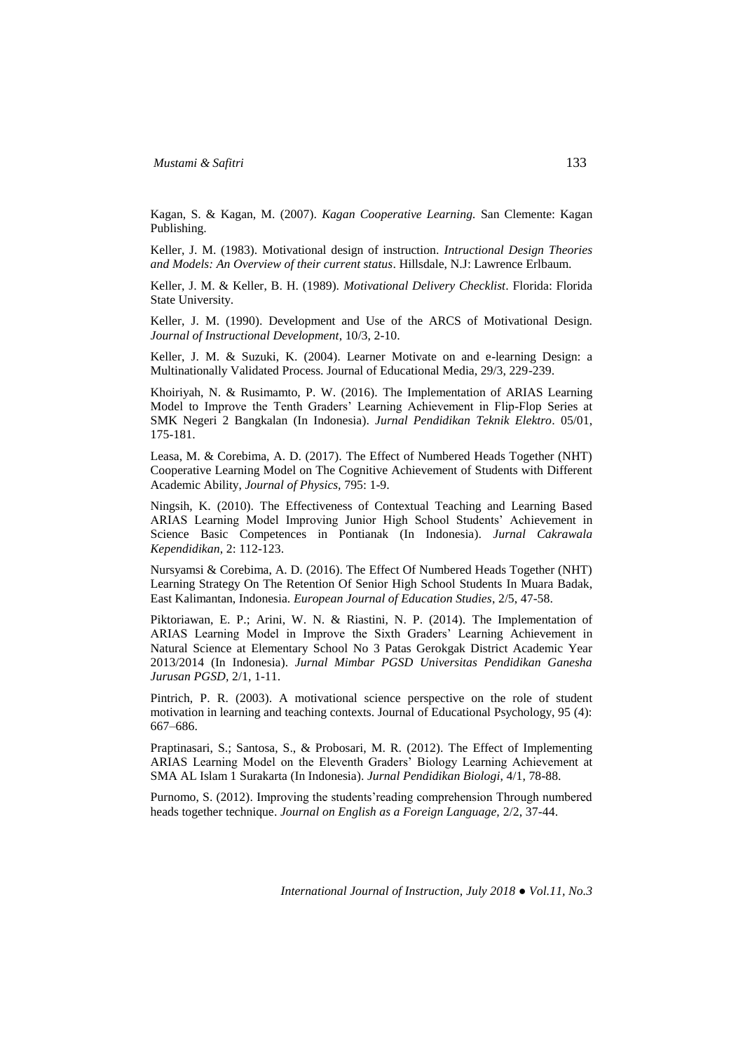Kagan, S. & Kagan, M. (2007). *Kagan Cooperative Learning.* San Clemente: Kagan Publishing.

Keller, J. M. (1983). Motivational design of instruction. *Intructional Design Theories and Models: An Overview of their current status*. Hillsdale, N.J: Lawrence Erlbaum.

Keller, J. M. & Keller, B. H. (1989). *Motivational Delivery Checklist*. Florida: Florida State University.

Keller, J. M. (1990). Development and Use of the ARCS of Motivational Design. *Journal of Instructional Development*, 10/3, 2-10.

Keller, J. M. & Suzuki, K. (2004). Learner Motivate on and e-learning Design: a Multinationally Validated Process. Journal of Educational Media, 29/3, 229-239.

Khoiriyah, N. & Rusimamto, P. W. (2016). The Implementation of ARIAS Learning Model to Improve the Tenth Graders' Learning Achievement in Flip-Flop Series at SMK Negeri 2 Bangkalan (In Indonesia). *Jurnal Pendidikan Teknik Elektro*. 05/01, 175-181.

Leasa, M. & Corebima, A. D. (2017). The Effect of Numbered Heads Together (NHT) Cooperative Learning Model on The Cognitive Achievement of Students with Different Academic Ability, *Journal of Physics,* 795: 1-9.

Ningsih, K. (2010). The Effectiveness of Contextual Teaching and Learning Based ARIAS Learning Model Improving Junior High School Students' Achievement in Science Basic Competences in Pontianak (In Indonesia). *Jurnal Cakrawala Kependidikan*, 2: 112-123.

Nursyamsi & Corebima, A. D. (2016). The Effect Of Numbered Heads Together (NHT) Learning Strategy On The Retention Of Senior High School Students In Muara Badak, East Kalimantan, Indonesia. *European Journal of Education Studies*, 2/5, 47-58.

Piktoriawan, E. P.; Arini, W. N. & Riastini, N. P. (2014). The Implementation of ARIAS Learning Model in Improve the Sixth Graders' Learning Achievement in Natural Science at Elementary School No 3 Patas Gerokgak District Academic Year 2013/2014 (In Indonesia). *Jurnal Mimbar PGSD Universitas Pendidikan Ganesha Jurusan PGSD,* 2/1, 1-11.

Pintrich, P. R. (2003). A motivational science perspective on the role of student motivation in learning and teaching contexts. Journal of Educational Psychology, 95 (4): 667–686.

Praptinasari, S.; Santosa, S., & Probosari, M. R. (2012). The Effect of Implementing ARIAS Learning Model on the Eleventh Graders' Biology Learning Achievement at SMA AL Islam 1 Surakarta (In Indonesia). *Jurnal Pendidikan Biologi*, 4/1, 78-88.

Purnomo, S. (2012). Improving the students'reading comprehension Through numbered heads together technique. *Journal on English as a Foreign Language,* 2/2, 37*-*44.